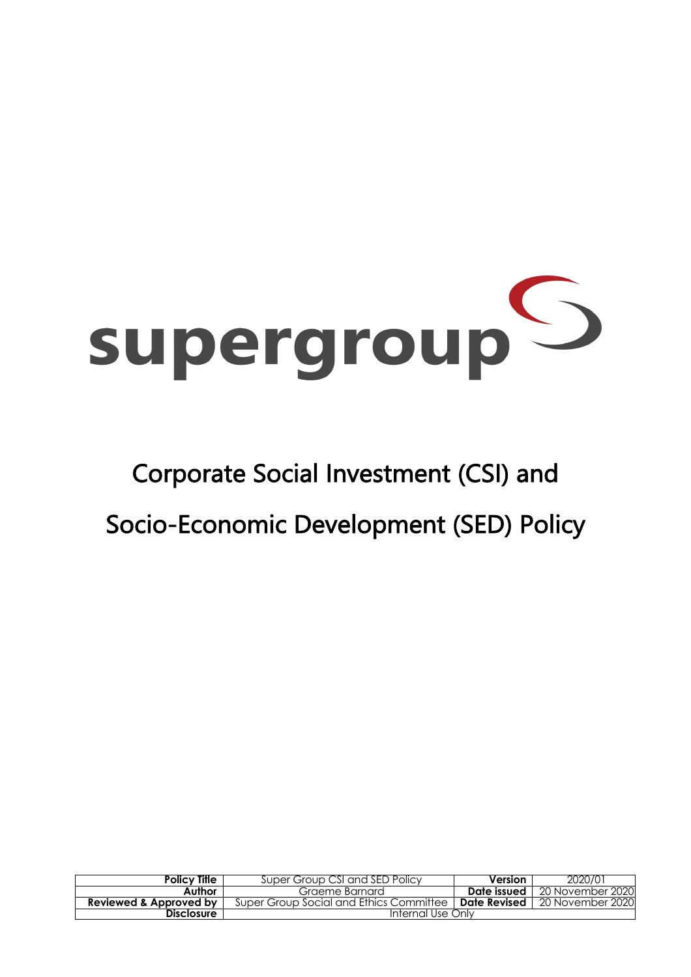

# Corporate Social Investment (CSI) and Socio-Economic Development (SED) Policy

| <b>Policy Title</b>               | Super Group CSI and SED Policy<br>Version                      |             | 2020/01          |
|-----------------------------------|----------------------------------------------------------------|-------------|------------------|
| Author                            | Graeme Barnard                                                 | Date issued | 20 November 2020 |
| <b>Reviewed &amp; Approved by</b> | <b>Date Revised</b><br>Super Group Social and Ethics Committee |             | 20 November 2020 |
| Disclosure                        | Internal Use Only                                              |             |                  |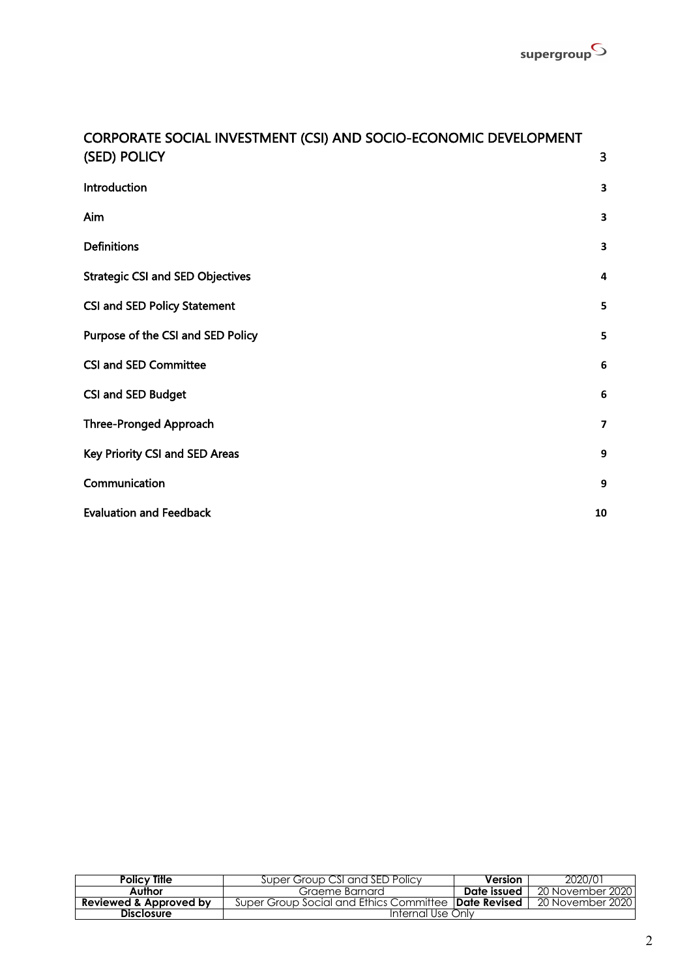| CONFONTIL SOCIAL INVESTIVIENT (CSI) AND SOCIO-ECONOMIC DEVELOR MENT<br>(SED) POLICY | 3                       |
|-------------------------------------------------------------------------------------|-------------------------|
| Introduction                                                                        | 3                       |
| Aim                                                                                 | 3                       |
| <b>Definitions</b>                                                                  | 3                       |
| <b>Strategic CSI and SED Objectives</b>                                             | $\overline{a}$          |
| <b>CSI and SED Policy Statement</b>                                                 | 5                       |
| Purpose of the CSI and SED Policy                                                   | 5                       |
| <b>CSI and SED Committee</b>                                                        | $6\phantom{1}6$         |
| CSI and SED Budget                                                                  | 6                       |
| <b>Three-Pronged Approach</b>                                                       | $\overline{\mathbf{z}}$ |
| Key Priority CSI and SED Areas                                                      | 9                       |
| Communication                                                                       | 9                       |
| <b>Evaluation and Feedback</b>                                                      | 10                      |

## CORPORATE SOCIAL INVESTMENT (CSI) AND SOCIO-ECONOMIC DEVELOPMENT

| <b>Policy Title</b>    | Super Group CSI and SED Policy                               | <b>Version</b> | 2020/01          |
|------------------------|--------------------------------------------------------------|----------------|------------------|
| Author                 | Graeme Barnard                                               | Date issued    | 20 November 2020 |
| Reviewed & Approved by | Super Group Social and Ethics Committee <b>IDate Revised</b> |                | 20 November 2020 |
| <b>Disclosure</b>      | Internal Use Only                                            |                |                  |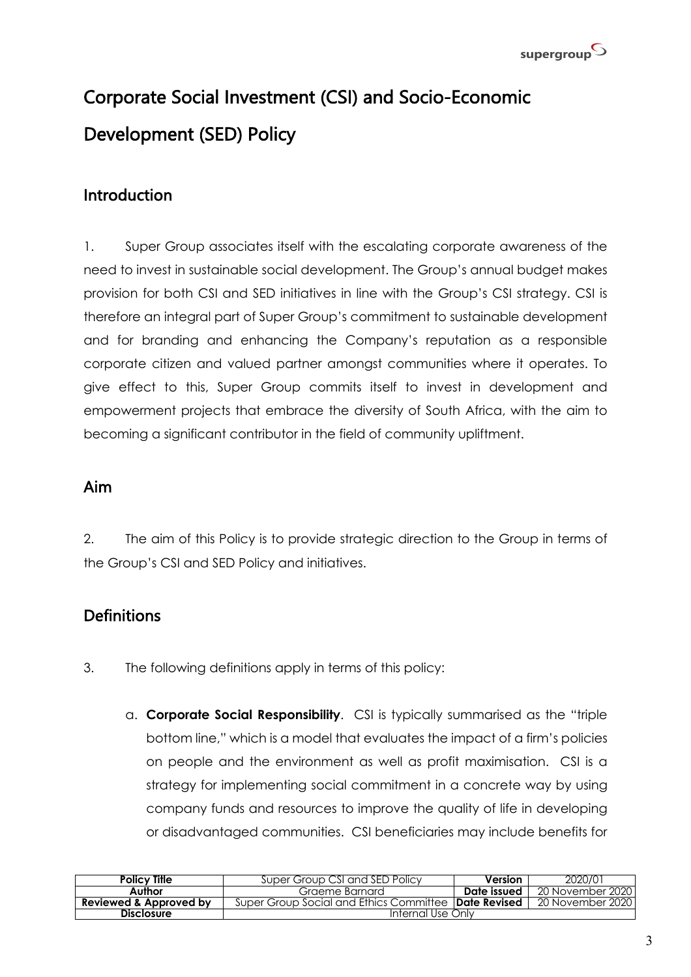## Corporate Social Investment (CSI) and Socio-Economic Development (SED) Policy

## Introduction

1. Super Group associates itself with the escalating corporate awareness of the need to invest in sustainable social development. The Group's annual budget makes provision for both CSI and SED initiatives in line with the Group's CSI strategy. CSI is therefore an integral part of Super Group's commitment to sustainable development and for branding and enhancing the Company's reputation as a responsible corporate citizen and valued partner amongst communities where it operates. To give effect to this, Super Group commits itself to invest in development and empowerment projects that embrace the diversity of South Africa, with the aim to becoming a significant contributor in the field of community upliftment.

## Aim

2. The aim of this Policy is to provide strategic direction to the Group in terms of the Group's CSI and SED Policy and initiatives.

## **Definitions**

- 3. The following definitions apply in terms of this policy:
	- a. **Corporate Social Responsibility**. CSI is typically summarised as the "triple bottom line," which is a model that evaluates the impact of a firm's policies on people and the environment as well as profit maximisation. CSI is a strategy for implementing social commitment in a concrete way by using company funds and resources to improve the quality of life in developing or disadvantaged communities. CSI beneficiaries may include benefits for

| <b>Policy Title</b>    | Super Group CSI and SED Policy                               | <b>Version</b> | 2020/01          |
|------------------------|--------------------------------------------------------------|----------------|------------------|
|                        |                                                              |                |                  |
| Author                 | Graeme Barnard                                               | Date issued    | 20 November 2020 |
| Reviewed & Approved by | Super Group Social and Ethics Committee <b>IDate Revised</b> |                | 20 November 2020 |
| <b>Disclosure</b>      | Internal Use Only                                            |                |                  |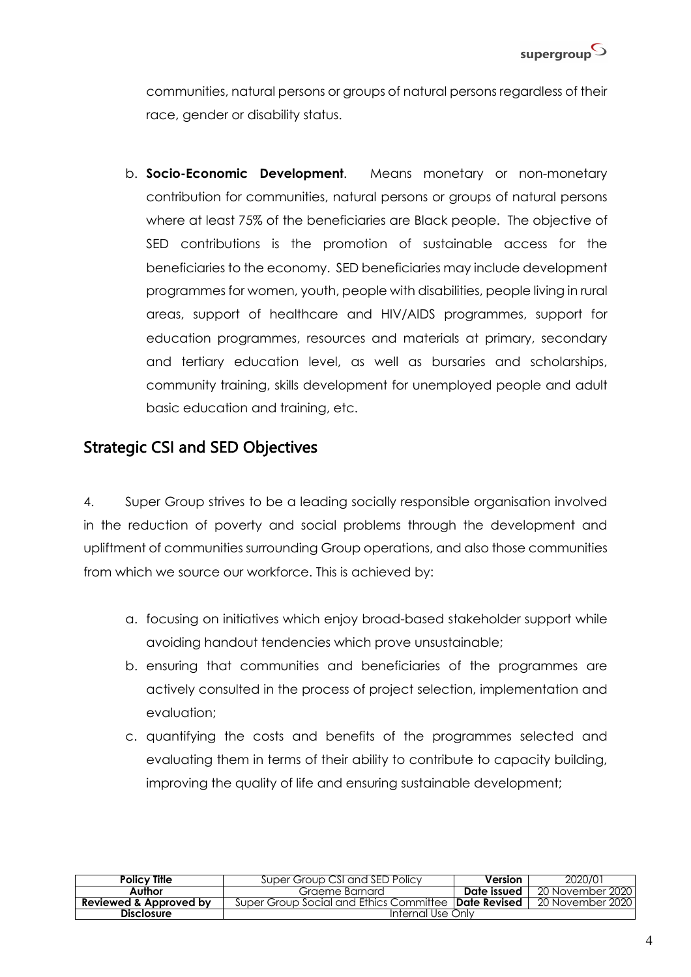

communities, natural persons or groups of natural persons regardless of their race, gender or disability status.

b. **Socio-Economic Development**. Means monetary or non-monetary contribution for communities, natural persons or groups of natural persons where at least 75% of the beneficiaries are Black people. The objective of SED contributions is the promotion of sustainable access for the beneficiaries to the economy. SED beneficiaries may include development programmes for women, youth, people with disabilities, people living in rural areas, support of healthcare and HIV/AIDS programmes, support for education programmes, resources and materials at primary, secondary and tertiary education level, as well as bursaries and scholarships, community training, skills development for unemployed people and adult basic education and training, etc.

## Strategic CSI and SED Objectives

4. Super Group strives to be a leading socially responsible organisation involved in the reduction of poverty and social problems through the development and upliftment of communities surrounding Group operations, and also those communities from which we source our workforce. This is achieved by:

- a. focusing on initiatives which enjoy broad-based stakeholder support while avoiding handout tendencies which prove unsustainable;
- b. ensuring that communities and beneficiaries of the programmes are actively consulted in the process of project selection, implementation and evaluation;
- c. quantifying the costs and benefits of the programmes selected and evaluating them in terms of their ability to contribute to capacity building, improving the quality of life and ensuring sustainable development;

| <b>Policy Title</b>    | Super Group CSI and SED Policy                         | <b>Version</b> | 2020/01          |
|------------------------|--------------------------------------------------------|----------------|------------------|
| Author                 | Graeme Barnard                                         | Date issued    | 20 November 2020 |
| Reviewed & Approved by | Super Group Social and Ethics Committee   Date Revised |                | 20 November 2020 |
| <b>Disclosure</b>      | Internal Use Only                                      |                |                  |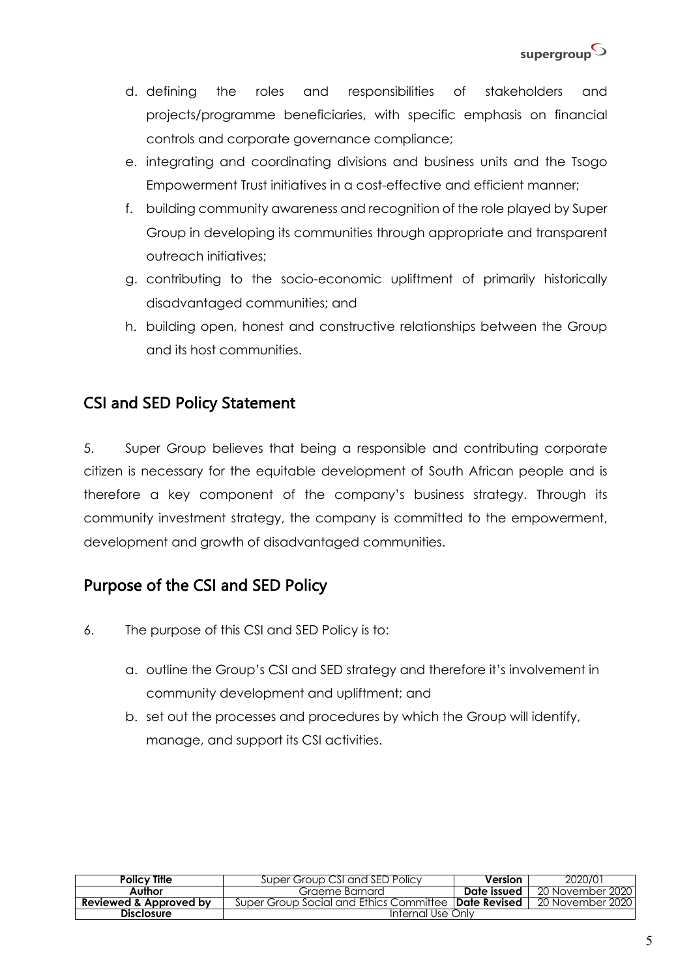

- d. defining the roles and responsibilities of stakeholders and projects/programme beneficiaries, with specific emphasis on financial controls and corporate governance compliance;
- e. integrating and coordinating divisions and business units and the Tsogo Empowerment Trust initiatives in a cost-effective and efficient manner;
- f. building community awareness and recognition of the role played by Super Group in developing its communities through appropriate and transparent outreach initiatives;
- g. contributing to the socio-economic upliftment of primarily historically disadvantaged communities; and
- h. building open, honest and constructive relationships between the Group and its host communities.

## CSI and SED Policy Statement

5. Super Group believes that being a responsible and contributing corporate citizen is necessary for the equitable development of South African people and is therefore a key component of the company's business strategy. Through its community investment strategy, the company is committed to the empowerment, development and growth of disadvantaged communities.

## Purpose of the CSI and SED Policy

- 6. The purpose of this CSI and SED Policy is to:
	- a. outline the Group's CSI and SED strategy and therefore it's involvement in community development and upliftment; and
	- b. set out the processes and procedures by which the Group will identify, manage, and support its CSI activities.

| <b>Policy Title</b>    | Super Group CSI and SED Policy                              | Version     | 2020/01          |
|------------------------|-------------------------------------------------------------|-------------|------------------|
| Author                 | Graeme Barnard                                              | Date issued | 20 November 2020 |
| Reviewed & Approved by | Super Group Social and Ethics Committee <b>Date Revised</b> |             | 20 November 2020 |
| <b>Disclosure</b>      | Internal Use Only                                           |             |                  |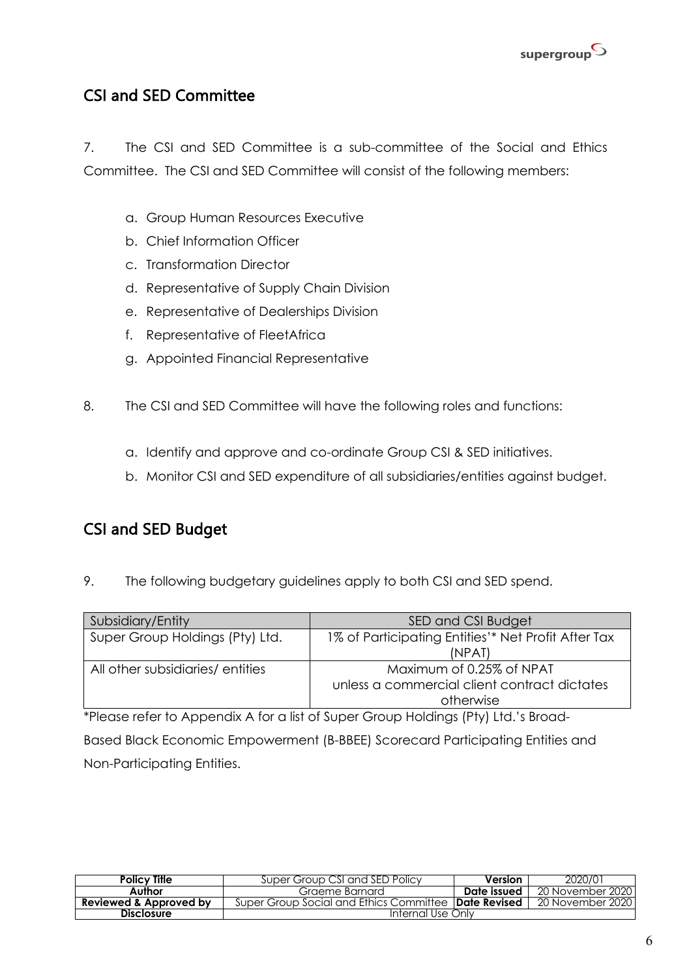

## CSI and SED Committee

7. The CSI and SED Committee is a sub-committee of the Social and Ethics Committee. The CSI and SED Committee will consist of the following members:

- a. Group Human Resources Executive
- b. Chief Information Officer
- c. Transformation Director
- d. Representative of Supply Chain Division
- e. Representative of Dealerships Division
- f. Representative of FleetAfrica
- g. Appointed Financial Representative
- 8. The CSI and SED Committee will have the following roles and functions:
	- a. Identify and approve and co-ordinate Group CSI & SED initiatives.
	- b. Monitor CSI and SED expenditure of all subsidiaries/entities against budget.

## CSI and SED Budget

9. The following budgetary guidelines apply to both CSI and SED spend.

| Subsidiary/Entity               | SED and CSI Budget                                  |  |
|---------------------------------|-----------------------------------------------------|--|
| Super Group Holdings (Pty) Ltd. | 1% of Participating Entities'* Net Profit After Tax |  |
|                                 | (NPAT)                                              |  |
| All other subsidiaries/entities | Maximum of 0.25% of NPAT                            |  |
|                                 | unless a commercial client contract dictates        |  |
|                                 | otherwise                                           |  |

\*Please refer to Appendix A for a list of Super Group Holdings (Pty) Ltd.'s Broad-

Based Black Economic Empowerment (B-BBEE) Scorecard Participating Entities and Non-Participating Entities.

| <b>Policy Title</b>    | Super Group CSI and SED Policy                               | <b>Version</b> | 2020/01            |
|------------------------|--------------------------------------------------------------|----------------|--------------------|
| Author                 | Graeme Barnard                                               | Date issued    | 20 November 2020 l |
| Reviewed & Approved by | Super Group Social and Ethics Committee <b>IDate Revised</b> |                | 20 November 2020 l |
| <b>Disclosure</b>      | Internal Use Only                                            |                |                    |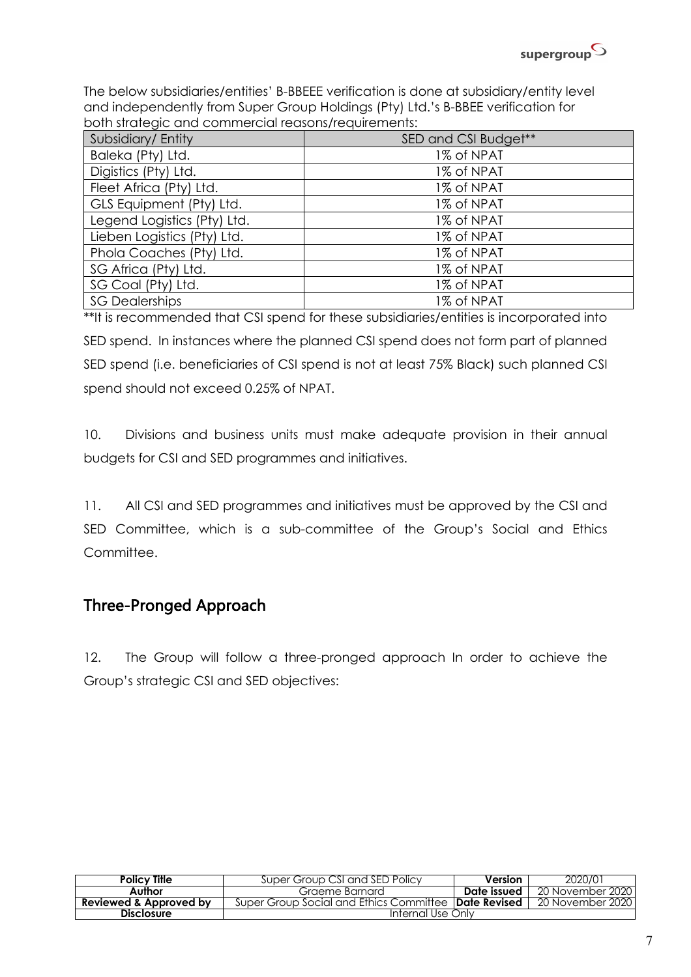

The below subsidiaries/entities' B-BBEEE verification is done at subsidiary/entity level and independently from Super Group Holdings (Pty) Ltd.'s B-BBEE verification for both strategic and commercial reasons/requirements:

| Subsidiary/Entity           | SED and CSI Budget** |
|-----------------------------|----------------------|
| Baleka (Pty) Ltd.           | 1% of NPAT           |
| Digistics (Pty) Ltd.        | 1% of NPAT           |
| Fleet Africa (Pty) Ltd.     | 1% of NPAT           |
| GLS Equipment (Pty) Ltd.    | 1% of NPAT           |
| Legend Logistics (Pty) Ltd. | 1% of NPAT           |
| Lieben Logistics (Pty) Ltd. | 1% of NPAT           |
| Phola Coaches (Pty) Ltd.    | 1% of NPAT           |
| SG Africa (Pty) Ltd.        | 1% of NPAT           |
| SG Coal (Pty) Ltd.          | 1% of NPAT           |
| <b>SG Dealerships</b>       | 1% of NPAT           |

\*\*It is recommended that CSI spend for these subsidiaries/entities is incorporated into SED spend. In instances where the planned CSI spend does not form part of planned SED spend (i.e. beneficiaries of CSI spend is not at least 75% Black) such planned CSI spend should not exceed 0.25% of NPAT.

10. Divisions and business units must make adequate provision in their annual budgets for CSI and SED programmes and initiatives.

11. All CSI and SED programmes and initiatives must be approved by the CSI and SED Committee, which is a sub-committee of the Group's Social and Ethics Committee.

## Three-Pronged Approach

12. The Group will follow a three-pronged approach In order to achieve the Group's strategic CSI and SED objectives:

| <b>Policy Title</b>    | Super Group CSI and SED Policy                              | <b>Version</b> | 2020/01            |
|------------------------|-------------------------------------------------------------|----------------|--------------------|
| Author                 | Graeme Barnard                                              | Date issued    | 20 November 2020 l |
| Reviewed & Approved by | Super Group Social and Ethics Committee <b>Date Revised</b> |                | 20 November 2020 l |
| <b>Disclosure</b>      | Internal Use Only                                           |                |                    |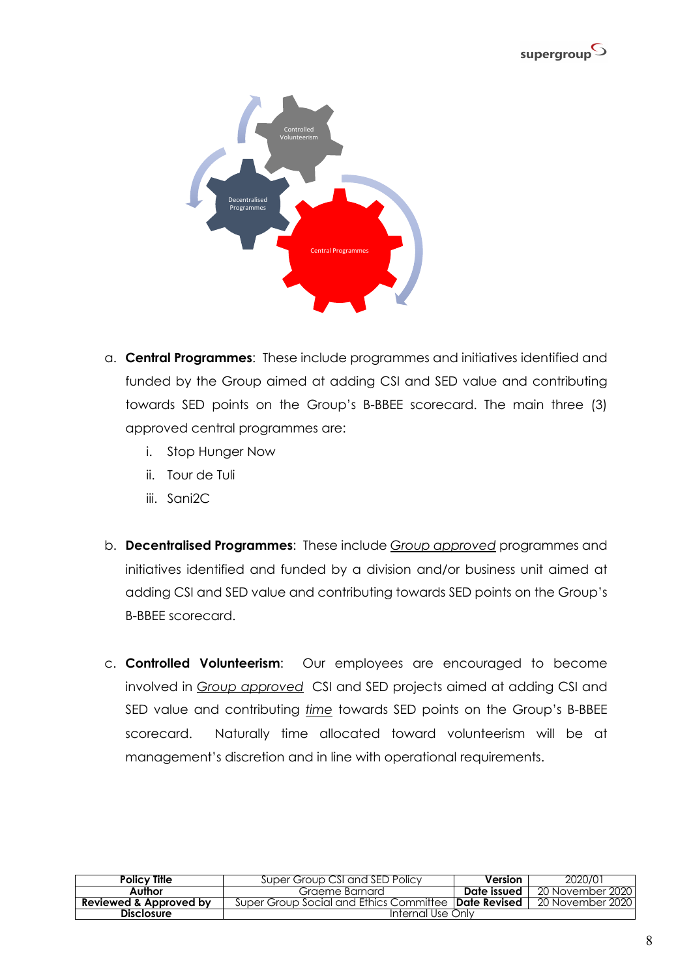



- a. **Central Programmes**: These include programmes and initiatives identified and funded by the Group aimed at adding CSI and SED value and contributing towards SED points on the Group's B-BBEE scorecard. The main three (3) approved central programmes are:
	- i. Stop Hunger Now
	- ii. Tour de Tuli
	- iii. Sani2C
- b. **Decentralised Programmes**: These include *Group approved* programmes and initiatives identified and funded by a division and/or business unit aimed at adding CSI and SED value and contributing towards SED points on the Group's B-BBEE scorecard.
- c. **Controlled Volunteerism**: Our employees are encouraged to become involved in *Group approved* CSI and SED projects aimed at adding CSI and SED value and contributing *time* towards SED points on the Group's B-BBEE scorecard. Naturally time allocated toward volunteerism will be at management's discretion and in line with operational requirements.

| <b>Policy Title</b>    | Super Group CSI and SED Policy                               | Version     | 2020/01          |
|------------------------|--------------------------------------------------------------|-------------|------------------|
| Author                 | Graeme Barnard                                               | Date issued | 20 November 2020 |
| Reviewed & Approved by | Super Group Social and Ethics Committee <b>IDate Revised</b> |             | 20 November 2020 |
| <b>Disclosure</b>      | Internal Use Only                                            |             |                  |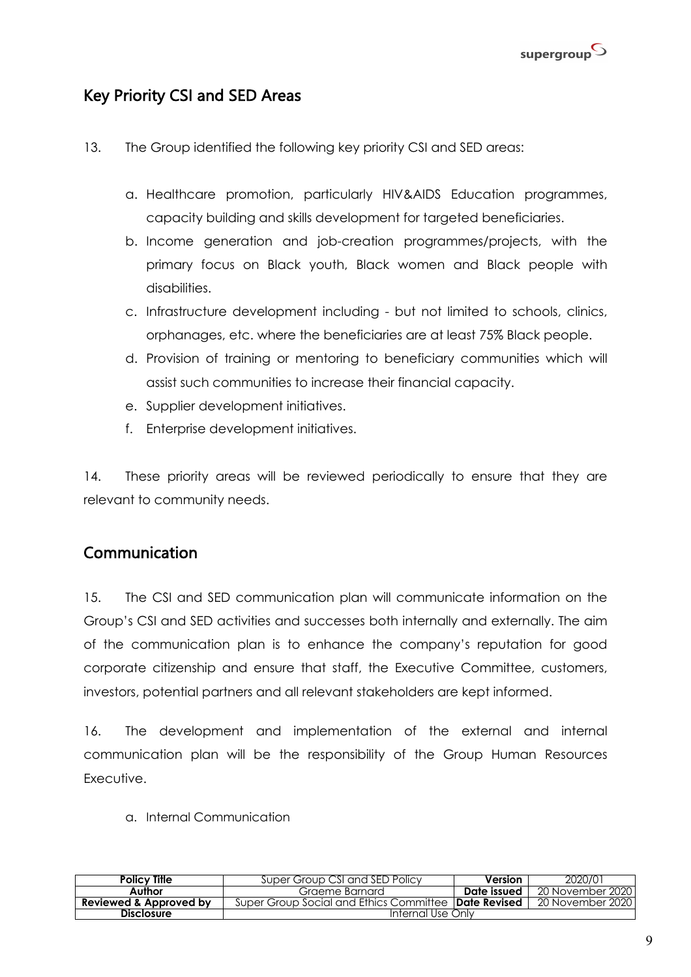

## Key Priority CSI and SED Areas

- 13. The Group identified the following key priority CSI and SED areas:
	- a. Healthcare promotion, particularly HIV&AIDS Education programmes, capacity building and skills development for targeted beneficiaries.
	- b. Income generation and job-creation programmes/projects, with the primary focus on Black youth, Black women and Black people with disabilities.
	- c. Infrastructure development including but not limited to schools, clinics, orphanages, etc. where the beneficiaries are at least 75% Black people.
	- d. Provision of training or mentoring to beneficiary communities which will assist such communities to increase their financial capacity.
	- e. Supplier development initiatives.
	- f. Enterprise development initiatives.

14. These priority areas will be reviewed periodically to ensure that they are relevant to community needs.

## Communication

15. The CSI and SED communication plan will communicate information on the Group's CSI and SED activities and successes both internally and externally. The aim of the communication plan is to enhance the company's reputation for good corporate citizenship and ensure that staff, the Executive Committee, customers, investors, potential partners and all relevant stakeholders are kept informed.

16. The development and implementation of the external and internal communication plan will be the responsibility of the Group Human Resources Executive.

a. Internal Communication

| <b>Policy Title</b>    | Super Group CSI and SED Policy                               | Version     | 2020/01          |
|------------------------|--------------------------------------------------------------|-------------|------------------|
| Author                 | Graeme Barnard                                               | Date issued | 20 November 2020 |
| Reviewed & Approved by | Super Group Social and Ethics Committee <b>IDate Revised</b> |             | 20 November 2020 |
| <b>Disclosure</b>      | Internal Use Only                                            |             |                  |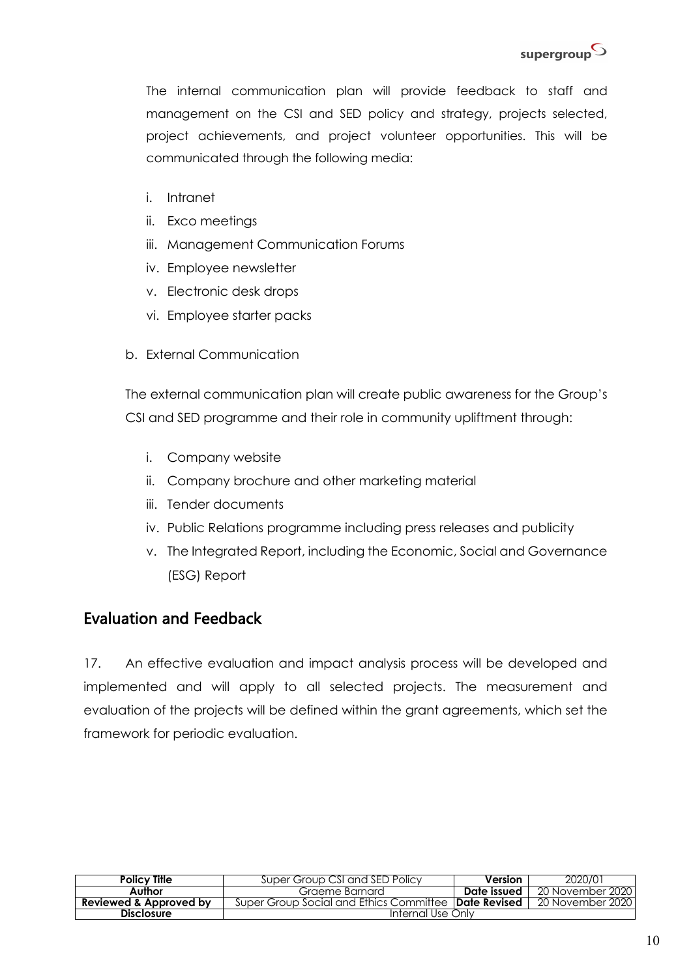

The internal communication plan will provide feedback to staff and management on the CSI and SED policy and strategy, projects selected, project achievements, and project volunteer opportunities. This will be communicated through the following media:

- i. Intranet
- ii. Exco meetings
- iii. Management Communication Forums
- iv. Employee newsletter
- v. Electronic desk drops
- vi. Employee starter packs
- b. External Communication

The external communication plan will create public awareness for the Group's CSI and SED programme and their role in community upliftment through:

- i. Company website
- ii. Company brochure and other marketing material
- iii. Tender documents
- iv. Public Relations programme including press releases and publicity
- v. The Integrated Report, including the Economic, Social and Governance (ESG) Report

## Evaluation and Feedback

17. An effective evaluation and impact analysis process will be developed and implemented and will apply to all selected projects. The measurement and evaluation of the projects will be defined within the grant agreements, which set the framework for periodic evaluation.

| <b>Policy Title</b>    | Super Group CSI and SED Policy                              | <b>Version</b> | 2020/01          |
|------------------------|-------------------------------------------------------------|----------------|------------------|
| Author                 | Graeme Barnard                                              | Date issued    | 20 November 2020 |
| Reviewed & Approved by | Super Group Social and Ethics Committee <b>Date Revised</b> |                | 20 November 2020 |
| <b>Disclosure</b>      | Internal Use Only                                           |                |                  |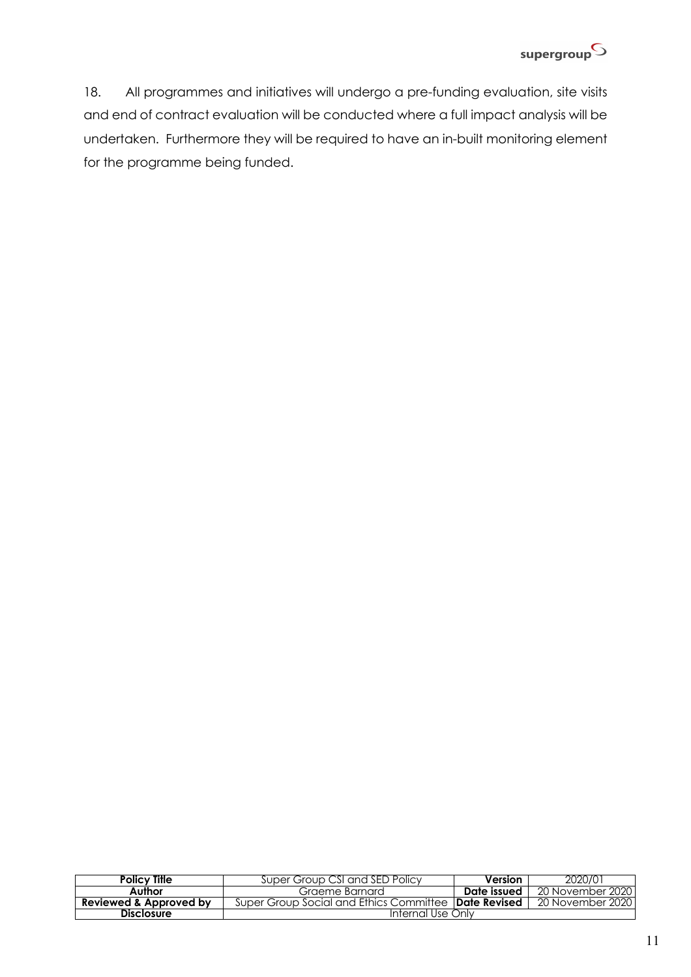

18. All programmes and initiatives will undergo a pre-funding evaluation, site visits and end of contract evaluation will be conducted where a full impact analysis will be undertaken. Furthermore they will be required to have an in-built monitoring element for the programme being funded.

| <b>Policy Title</b>    | Super Group CSI and SED Policy                              | Version     | 2020/01          |
|------------------------|-------------------------------------------------------------|-------------|------------------|
| Author                 | Graeme Barnard                                              | Date issued | 20 November 2020 |
| Reviewed & Approved by | Super Group Social and Ethics Committee <b>Date Revised</b> |             | 20 November 2020 |
| <b>Disclosure</b>      | Internal Use Only                                           |             |                  |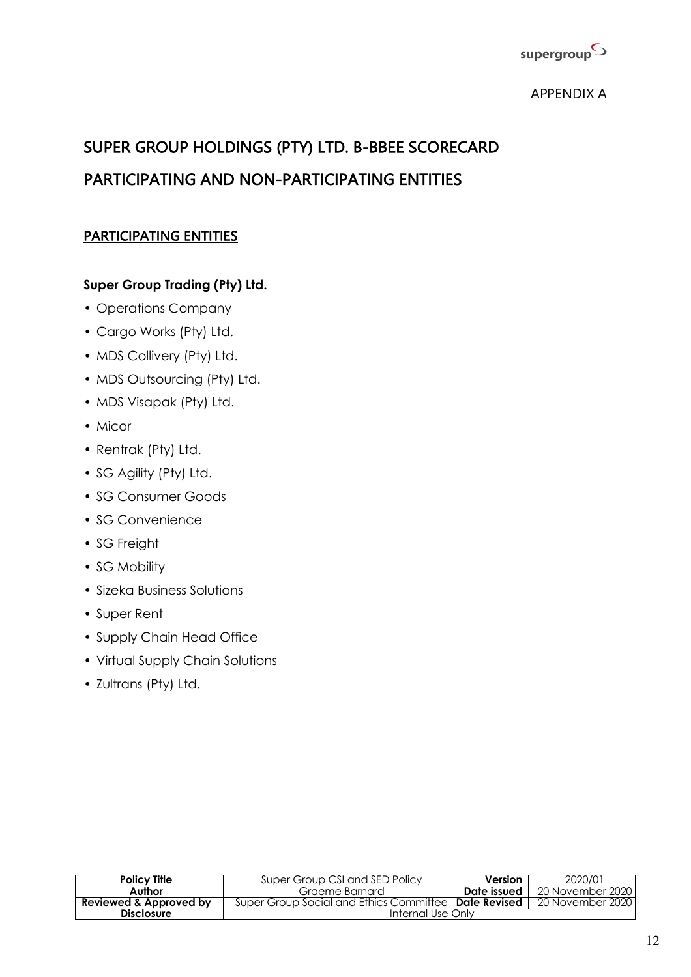

#### APPENDIX A

## SUPER GROUP HOLDINGS (PTY) LTD. B-BBEE SCORECARD PARTICIPATING AND NON-PARTICIPATING ENTITIES

### PARTICIPATING ENTITIES

#### **Super Group Trading (Pty) Ltd.**

- Operations Company
- Cargo Works (Pty) Ltd.
- MDS Collivery (Pty) Ltd.
- MDS Outsourcing (Pty) Ltd.
- MDS Visapak (Pty) Ltd.
- Micor
- Rentrak (Pty) Ltd.
- SG Agility (Pty) Ltd.
- SG Consumer Goods
- SG Convenience
- SG Freight
- SG Mobility
- Sizeka Business Solutions
- Super Rent
- Supply Chain Head Office
- Virtual Supply Chain Solutions
- Zultrans (Pty) Ltd.

| <b>Policy Title</b>    | Super Group CSI and SED Policy                               | <b>Version</b> | 2020/01            |
|------------------------|--------------------------------------------------------------|----------------|--------------------|
| Author                 | Graeme Barnard                                               | Date issued    | 20 November 2020 l |
| Reviewed & Approved by | Super Group Social and Ethics Committee <b>IDate Revised</b> |                | 20 November 2020 l |
| <b>Disclosure</b>      | Internal Use Only                                            |                |                    |